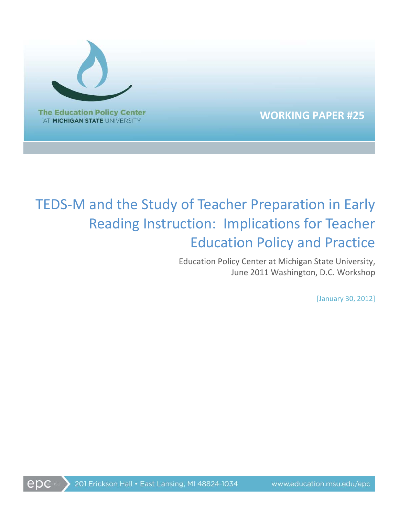

**WORKING PAPER #25**

# TEDS-M and the Study of Teacher Preparation in Early Reading Instruction: Implications for Teacher Education Policy and Practice

Education Policy Center at Michigan State University, June 2011 Washington, D.C. Workshop

[January 30, 2012]

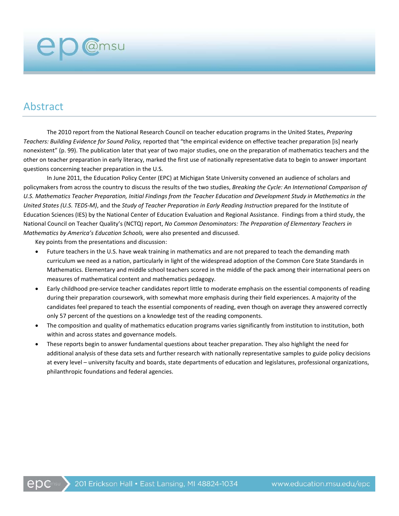# Abstract

**ep** @msu

The 2010 report from the National Research Council on teacher education programs in the United States, *Preparing Teachers: Building Evidence for Sound Policy,* reported that "the empirical evidence on effective teacher preparation [is] nearly nonexistent" (p. 99). The publication later that year of two major studies, one on the preparation of mathematics teachers and the other on teacher preparation in early literacy, marked the first use of nationally representative data to begin to answer important questions concerning teacher preparation in the U.S.

In June 2011, the Education Policy Center (EPC) at Michigan State University convened an audience of scholars and policymakers from across the country to discuss the results of the two studies, *Breaking the Cycle: An International Comparison of U.S. Mathematics Teacher Preparation, Initial Findings from the Teacher Education and Development Study in Mathematics in the United States (U.S. TEDS-M)*, and the *Study of Teacher Preparation in Early Reading Instruction* prepared for the Institute of Education Sciences (IES) by the National Center of Education Evaluation and Regional Assistance. Findings from a third study, the National Council on Teacher Quality's (NCTQ) report, *No Common Denominators: The Preparation of Elementary Teachers in Mathematics by America's Education Schools,* were also presented and discussed.

Key points from the presentations and discussion:

- Future teachers in the U.S. have weak training in mathematics and are not prepared to teach the demanding math curriculum we need as a nation, particularly in light of the widespread adoption of the Common Core State Standards in Mathematics. Elementary and middle school teachers scored in the middle of the pack among their international peers on measures of mathematical content and mathematics pedagogy.
- Early childhood pre-service teacher candidates report little to moderate emphasis on the essential components of reading during their preparation coursework, with somewhat more emphasis during their field experiences. A majority of the candidates feel prepared to teach the essential components of reading, even though on average they answered correctly only 57 percent of the questions on a knowledge test of the reading components.
- The composition and quality of mathematics education programs varies significantly from institution to institution, both within and across states and governance models.
- These reports begin to answer fundamental questions about teacher preparation. They also highlight the need for additional analysis of these data sets and further research with nationally representative samples to guide policy decisions at every level – university faculty and boards, state departments of education and legislatures, professional organizations, philanthropic foundations and federal agencies.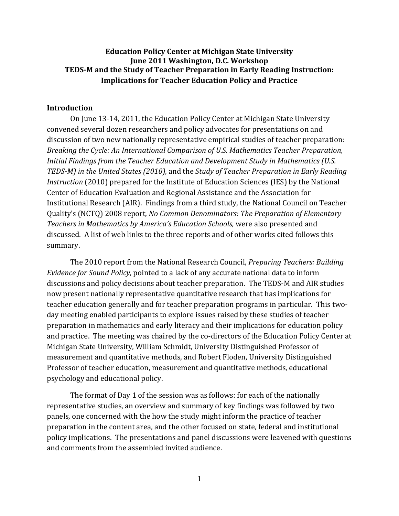# **Education Policy Center at Michigan State University June 2011 Washington, D.C. Workshop TEDS-M and the Study of Teacher Preparation in Early Reading Instruction: Implications for Teacher Education Policy and Practice**

#### **Introduction**

On June 13-14, 2011, the Education Policy Center at Michigan State University convened several dozen researchers and policy advocates for presentations on and discussion of two new nationally representative empirical studies of teacher preparation: *Breaking the Cycle: An International Comparison of U.S. Mathematics Teacher Preparation, Initial Findings from the Teacher Education and Development Study in Mathematics (U.S. TEDS-M) in the United States (2010),* and the *Study of Teacher Preparation in Early Reading Instruction* (2010) prepared for the Institute of Education Sciences (IES) by the National Center of Education Evaluation and Regional Assistance and the Association for Institutional Research (AIR). Findings from a third study, the National Council on Teacher Quality's (NCTQ) 2008 report, *No Common Denominators: The Preparation of Elementary Teachers in Mathematics by America's Education Schools,* were also presented and discussed. A list of web links to the three reports and of other works cited follows this summary.

The 2010 report from the National Research Council, *Preparing Teachers: Building Evidence for Sound Policy,* pointed to a lack of any accurate national data to inform discussions and policy decisions about teacher preparation. The TEDS-M and AIR studies now present nationally representative quantitative research that has implications for teacher education generally and for teacher preparation programs in particular. This twoday meeting enabled participants to explore issues raised by these studies of teacher preparation in mathematics and early literacy and their implications for education policy and practice. The meeting was chaired by the co-directors of the Education Policy Center at Michigan State University, William Schmidt, University Distinguished Professor of measurement and quantitative methods, and Robert Floden, University Distinguished Professor of teacher education, measurement and quantitative methods, educational psychology and educational policy.

The format of Day 1 of the session was as follows: for each of the nationally representative studies, an overview and summary of key findings was followed by two panels, one concerned with the how the study might inform the practice of teacher preparation in the content area, and the other focused on state, federal and institutional policy implications. The presentations and panel discussions were leavened with questions and comments from the assembled invited audience.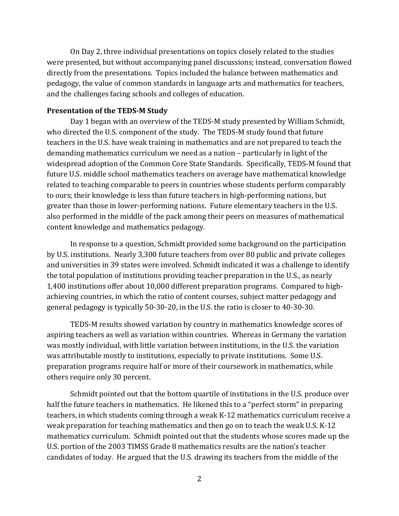On Day 2, three individual presentations on topics closely related to the studies were presented, but without accompanying panel discussions; instead, conversation flowed directly from the presentations. Topics included the balance between mathematics and pedagogy, the value of common standards in language arts and mathematics for teachers, and the challenges facing schools and colleges of education.

#### **Presentation of the TEDS-M Study**

Day 1 began with an overview of the TEDS-M study presented by William Schmidt, who directed the U.S. component of the study. The TEDS-M study found that future teachers in the U.S. have weak training in mathematics and are not prepared to teach the demanding mathematics curriculum we need as a nation – particularly in light of the widespread adoption of the Common Core State Standards. Specifically, TEDS-M found that future U.S. middle school mathematics teachers on average have mathematical knowledge related to teaching comparable to peers in countries whose students perform comparably to ours; their knowledge is less than future teachers in high-performing nations, but greater than those in lower-performing nations. Future elementary teachers in the U.S. also performed in the middle of the pack among their peers on measures of mathematical content knowledge and mathematics pedagogy.

In response to a question, Schmidt provided some background on the participation by U.S. institutions. Nearly 3,300 future teachers from over 80 public and private colleges and universities in 39 states were involved. Schmidt indicated it was a challenge to identify the total population of institutions providing teacher preparation in the U.S., as nearly 1,400 institutions offer about 10,000 different preparation programs. Compared to highachieving countries, in which the ratio of content courses, subject matter pedagogy and general pedagogy is typically 50-30-20, in the U.S. the ratio is closer to 40-30-30.

TEDS-M results showed variation by country in mathematics knowledge scores of aspiring teachers as well as variation within countries. Whereas in Germany the variation was mostly individual, with little variation between institutions, in the U.S. the variation was attributable mostly to institutions, especially to private institutions. Some U.S. preparation programs require half or more of their coursework in mathematics, while others require only 30 percent.

Schmidt pointed out that the bottom quartile of institutions in the U.S. produce over half the future teachers in mathematics. He likened this to a "perfect storm" in preparing teachers, in which students coming through a weak K-12 mathematics curriculum receive a weak preparation for teaching mathematics and then go on to teach the weak U.S. K-12 mathematics curriculum. Schmidt pointed out that the students whose scores made up the U.S. portion of the 2003 TIMSS Grade 8 mathematics results are the nation's teacher candidates of today. He argued that the U.S. drawing its teachers from the middle of the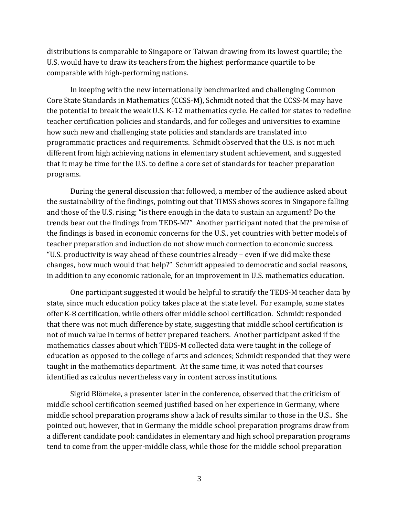distributions is comparable to Singapore or Taiwan drawing from its lowest quartile; the U.S. would have to draw its teachers from the highest performance quartile to be comparable with high-performing nations.

In keeping with the new internationally benchmarked and challenging Common Core State Standards in Mathematics (CCSS-M), Schmidt noted that the CCSS-M may have the potential to break the weak U.S. K-12 mathematics cycle. He called for states to redefine teacher certification policies and standards, and for colleges and universities to examine how such new and challenging state policies and standards are translated into programmatic practices and requirements. Schmidt observed that the U.S. is not much different from high achieving nations in elementary student achievement, and suggested that it may be time for the U.S. to define a core set of standards for teacher preparation programs.

During the general discussion that followed, a member of the audience asked about the sustainability of the findings, pointing out that TIMSS shows scores in Singapore falling and those of the U.S. rising; "is there enough in the data to sustain an argument? Do the trends bear out the findings from TEDS-M?" Another participant noted that the premise of the findings is based in economic concerns for the U.S., yet countries with better models of teacher preparation and induction do not show much connection to economic success. "U.S. productivity is way ahead of these countries already – even if we did make these changes, how much would that help?" Schmidt appealed to democratic and social reasons, in addition to any economic rationale, for an improvement in U.S. mathematics education.

One participant suggested it would be helpful to stratify the TEDS-M teacher data by state, since much education policy takes place at the state level. For example, some states offer K-8 certification, while others offer middle school certification. Schmidt responded that there was not much difference by state, suggesting that middle school certification is not of much value in terms of better prepared teachers. Another participant asked if the mathematics classes about which TEDS-M collected data were taught in the college of education as opposed to the college of arts and sciences; Schmidt responded that they were taught in the mathematics department. At the same time, it was noted that courses identified as calculus nevertheless vary in content across institutions.

Sigrid Blömeke, a presenter later in the conference, observed that the criticism of middle school certification seemed justified based on her experience in Germany, where middle school preparation programs show a lack of results similar to those in the U.S.. She pointed out, however, that in Germany the middle school preparation programs draw from a different candidate pool: candidates in elementary and high school preparation programs tend to come from the upper-middle class, while those for the middle school preparation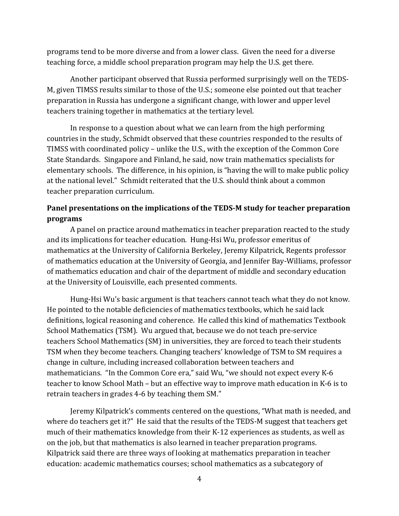programs tend to be more diverse and from a lower class. Given the need for a diverse teaching force, a middle school preparation program may help the U.S. get there.

Another participant observed that Russia performed surprisingly well on the TEDS-M, given TIMSS results similar to those of the U.S.; someone else pointed out that teacher preparation in Russia has undergone a significant change, with lower and upper level teachers training together in mathematics at the tertiary level.

In response to a question about what we can learn from the high performing countries in the study, Schmidt observed that these countries responded to the results of TIMSS with coordinated policy – unlike the U.S., with the exception of the Common Core State Standards. Singapore and Finland, he said, now train mathematics specialists for elementary schools. The difference, in his opinion, is "having the will to make public policy at the national level." Schmidt reiterated that the U.S. should think about a common teacher preparation curriculum.

# **Panel presentations on the implications of the TEDS-M study for teacher preparation programs**

A panel on practice around mathematics in teacher preparation reacted to the study and its implications for teacher education. Hung-Hsi Wu, professor emeritus of mathematics at the University of California Berkeley, Jeremy Kilpatrick, Regents professor of mathematics education at the University of Georgia, and Jennifer Bay-Williams, professor of mathematics education and chair of the department of middle and secondary education at the University of Louisville, each presented comments.

Hung-Hsi Wu's basic argument is that teachers cannot teach what they do not know. He pointed to the notable deficiencies of mathematics textbooks, which he said lack definitions, logical reasoning and coherence. He called this kind of mathematics Textbook School Mathematics (TSM). Wu argued that, because we do not teach pre-service teachers School Mathematics (SM) in universities, they are forced to teach their students TSM when they become teachers. Changing teachers' knowledge of TSM to SM requires a change in culture, including increased collaboration between teachers and mathematicians. "In the Common Core era," said Wu, "we should not expect every K-6 teacher to know School Math – but an effective way to improve math education in K-6 is to retrain teachers in grades 4-6 by teaching them SM."

Jeremy Kilpatrick's comments centered on the questions, "What math is needed, and where do teachers get it?" He said that the results of the TEDS-M suggest that teachers get much of their mathematics knowledge from their K-12 experiences as students, as well as on the job, but that mathematics is also learned in teacher preparation programs. Kilpatrick said there are three ways of looking at mathematics preparation in teacher education: academic mathematics courses; school mathematics as a subcategory of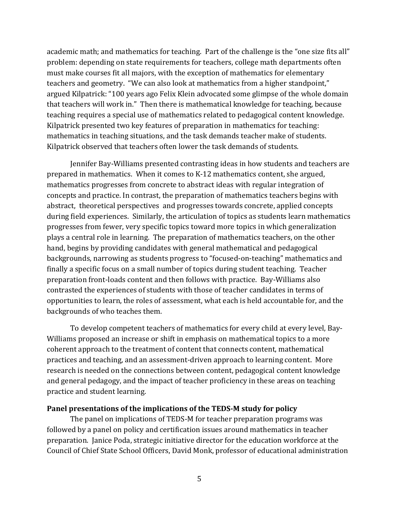academic math; and mathematics for teaching. Part of the challenge is the "one size fits all" problem: depending on state requirements for teachers, college math departments often must make courses fit all majors, with the exception of mathematics for elementary teachers and geometry. "We can also look at mathematics from a higher standpoint," argued Kilpatrick: "100 years ago Felix Klein advocated some glimpse of the whole domain that teachers will work in." Then there is mathematical knowledge for teaching, because teaching requires a special use of mathematics related to pedagogical content knowledge. Kilpatrick presented two key features of preparation in mathematics for teaching: mathematics in teaching situations, and the task demands teacher make of students. Kilpatrick observed that teachers often lower the task demands of students.

Jennifer Bay-Williams presented contrasting ideas in how students and teachers are prepared in mathematics. When it comes to K-12 mathematics content, she argued, mathematics progresses from concrete to abstract ideas with regular integration of concepts and practice. In contrast, the preparation of mathematics teachers begins with abstract, theoretical perspectives and progresses towards concrete, applied concepts during field experiences. Similarly, the articulation of topics as students learn mathematics progresses from fewer, very specific topics toward more topics in which generalization plays a central role in learning. The preparation of mathematics teachers, on the other hand, begins by providing candidates with general mathematical and pedagogical backgrounds, narrowing as students progress to "focused-on-teaching" mathematics and finally a specific focus on a small number of topics during student teaching. Teacher preparation front-loads content and then follows with practice. Bay-Williams also contrasted the experiences of students with those of teacher candidates in terms of opportunities to learn, the roles of assessment, what each is held accountable for, and the backgrounds of who teaches them.

To develop competent teachers of mathematics for every child at every level, Bay-Williams proposed an increase or shift in emphasis on mathematical topics to a more coherent approach to the treatment of content that connects content, mathematical practices and teaching, and an assessment-driven approach to learning content. More research is needed on the connections between content, pedagogical content knowledge and general pedagogy, and the impact of teacher proficiency in these areas on teaching practice and student learning.

### **Panel presentations of the implications of the TEDS-M study for policy**

The panel on implications of TEDS-M for teacher preparation programs was followed by a panel on policy and certification issues around mathematics in teacher preparation. Janice Poda, strategic initiative director for the education workforce at the Council of Chief State School Officers, David Monk, professor of educational administration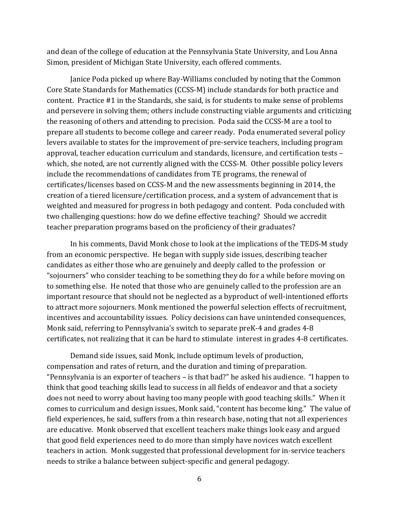and dean of the college of education at the Pennsylvania State University, and Lou Anna Simon, president of Michigan State University, each offered comments.

Janice Poda picked up where Bay-Williams concluded by noting that the Common Core State Standards for Mathematics (CCSS-M) include standards for both practice and content. Practice #1 in the Standards, she said, is for students to make sense of problems and persevere in solving them; others include constructing viable arguments and criticizing the reasoning of others and attending to precision. Poda said the CCSS-M are a tool to prepare all students to become college and career ready. Poda enumerated several policy levers available to states for the improvement of pre-service teachers, including program approval, teacher education curriculum and standards, licensure, and certification tests – which, she noted, are not currently aligned with the CCSS-M. Other possible policy levers include the recommendations of candidates from TE programs, the renewal of certificates/licenses based on CCSS-M and the new assessments beginning in 2014, the creation of a tiered licensure/certification process, and a system of advancement that is weighted and measured for progress in both pedagogy and content. Poda concluded with two challenging questions: how do we define effective teaching? Should we accredit teacher preparation programs based on the proficiency of their graduates?

In his comments, David Monk chose to look at the implications of the TEDS-M study from an economic perspective. He began with supply side issues, describing teacher candidates as either those who are genuinely and deeply called to the profession or "sojourners" who consider teaching to be something they do for a while before moving on to something else. He noted that those who are genuinely called to the profession are an important resource that should not be neglected as a byproduct of well-intentioned efforts to attract more sojourners. Monk mentioned the powerful selection effects of recruitment, incentives and accountability issues. Policy decisions can have unintended consequences, Monk said, referring to Pennsylvania's switch to separate preK-4 and grades 4-8 certificates, not realizing that it can be hard to stimulate interest in grades 4-8 certificates.

Demand side issues, said Monk, include optimum levels of production, compensation and rates of return, and the duration and timing of preparation. "Pennsylvania is an exporter of teachers – is that bad?" he asked his audience. "I happen to think that good teaching skills lead to success in all fields of endeavor and that a society does not need to worry about having too many people with good teaching skills." When it comes to curriculum and design issues, Monk said, "content has become king." The value of field experiences, he said, suffers from a thin research base, noting that not all experiences are educative. Monk observed that excellent teachers make things look easy and argued that good field experiences need to do more than simply have novices watch excellent teachers in action. Monk suggested that professional development for in-service teachers needs to strike a balance between subject-specific and general pedagogy.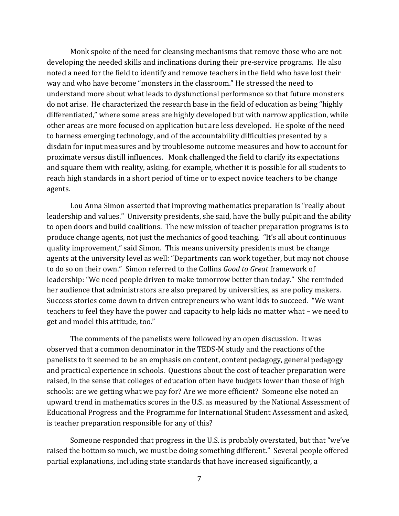Monk spoke of the need for cleansing mechanisms that remove those who are not developing the needed skills and inclinations during their pre-service programs. He also noted a need for the field to identify and remove teachers in the field who have lost their way and who have become "monsters in the classroom." He stressed the need to understand more about what leads to dysfunctional performance so that future monsters do not arise. He characterized the research base in the field of education as being "highly differentiated," where some areas are highly developed but with narrow application, while other areas are more focused on application but are less developed. He spoke of the need to harness emerging technology, and of the accountability difficulties presented by a disdain for input measures and by troublesome outcome measures and how to account for proximate versus distill influences. Monk challenged the field to clarify its expectations and square them with reality, asking, for example, whether it is possible for all students to reach high standards in a short period of time or to expect novice teachers to be change agents.

Lou Anna Simon asserted that improving mathematics preparation is "really about leadership and values." University presidents, she said, have the bully pulpit and the ability to open doors and build coalitions. The new mission of teacher preparation programs is to produce change agents, not just the mechanics of good teaching. "It's all about continuous quality improvement," said Simon. This means university presidents must be change agents at the university level as well: "Departments can work together, but may not choose to do so on their own." Simon referred to the Collins *Good to Great* framework of leadership: "We need people driven to make tomorrow better than today." She reminded her audience that administrators are also prepared by universities, as are policy makers. Success stories come down to driven entrepreneurs who want kids to succeed. "We want teachers to feel they have the power and capacity to help kids no matter what – we need to get and model this attitude, too."

The comments of the panelists were followed by an open discussion. It was observed that a common denominator in the TEDS-M study and the reactions of the panelists to it seemed to be an emphasis on content, content pedagogy, general pedagogy and practical experience in schools. Questions about the cost of teacher preparation were raised, in the sense that colleges of education often have budgets lower than those of high schools: are we getting what we pay for? Are we more efficient? Someone else noted an upward trend in mathematics scores in the U.S. as measured by the National Assessment of Educational Progress and the Programme for International Student Assessment and asked, is teacher preparation responsible for any of this?

Someone responded that progress in the U.S. is probably overstated, but that "we've raised the bottom so much, we must be doing something different." Several people offered partial explanations, including state standards that have increased significantly, a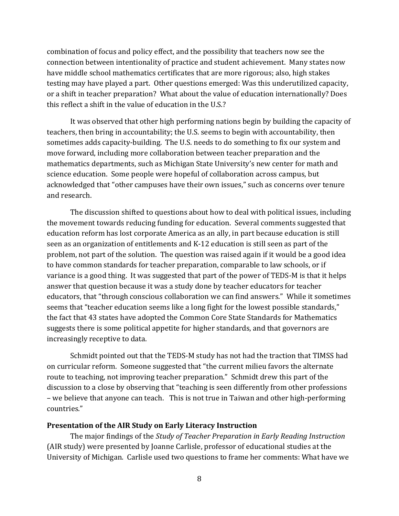combination of focus and policy effect, and the possibility that teachers now see the connection between intentionality of practice and student achievement. Many states now have middle school mathematics certificates that are more rigorous; also, high stakes testing may have played a part. Other questions emerged: Was this underutilized capacity, or a shift in teacher preparation? What about the value of education internationally? Does this reflect a shift in the value of education in the U.S.?

It was observed that other high performing nations begin by building the capacity of teachers, then bring in accountability; the U.S. seems to begin with accountability, then sometimes adds capacity-building. The U.S. needs to do something to fix our system and move forward, including more collaboration between teacher preparation and the mathematics departments, such as Michigan State University's new center for math and science education. Some people were hopeful of collaboration across campus, but acknowledged that "other campuses have their own issues," such as concerns over tenure and research.

The discussion shifted to questions about how to deal with political issues, including the movement towards reducing funding for education. Several comments suggested that education reform has lost corporate America as an ally, in part because education is still seen as an organization of entitlements and K-12 education is still seen as part of the problem, not part of the solution. The question was raised again if it would be a good idea to have common standards for teacher preparation, comparable to law schools, or if variance is a good thing. It was suggested that part of the power of TEDS-M is that it helps answer that question because it was a study done by teacher educators for teacher educators, that "through conscious collaboration we can find answers." While it sometimes seems that "teacher education seems like a long fight for the lowest possible standards," the fact that 43 states have adopted the Common Core State Standards for Mathematics suggests there is some political appetite for higher standards, and that governors are increasingly receptive to data.

Schmidt pointed out that the TEDS-M study has not had the traction that TIMSS had on curricular reform. Someone suggested that "the current milieu favors the alternate route to teaching, not improving teacher preparation." Schmidt drew this part of the discussion to a close by observing that "teaching is seen differently from other professions – we believe that anyone can teach. This is not true in Taiwan and other high-performing countries."

#### **Presentation of the AIR Study on Early Literacy Instruction**

The major findings of the *Study of Teacher Preparation in Early Reading Instruction* (AIR study) were presented by Joanne Carlisle, professor of educational studies at the University of Michigan. Carlisle used two questions to frame her comments: What have we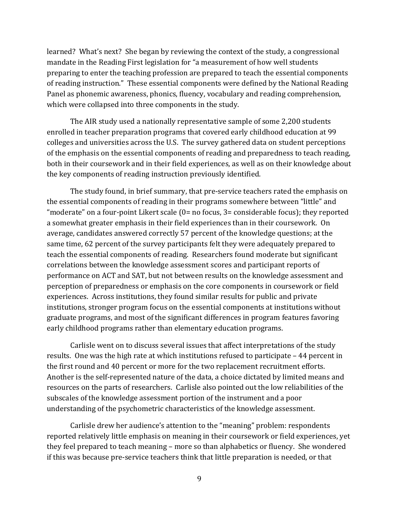learned? What's next? She began by reviewing the context of the study, a congressional mandate in the Reading First legislation for "a measurement of how well students preparing to enter the teaching profession are prepared to teach the essential components of reading instruction." These essential components were defined by the National Reading Panel as phonemic awareness, phonics, fluency, vocabulary and reading comprehension, which were collapsed into three components in the study.

The AIR study used a nationally representative sample of some 2,200 students enrolled in teacher preparation programs that covered early childhood education at 99 colleges and universities across the U.S. The survey gathered data on student perceptions of the emphasis on the essential components of reading and preparedness to teach reading, both in their coursework and in their field experiences, as well as on their knowledge about the key components of reading instruction previously identified.

The study found, in brief summary, that pre-service teachers rated the emphasis on the essential components of reading in their programs somewhere between "little" and "moderate" on a four-point Likert scale (0= no focus, 3= considerable focus); they reported a somewhat greater emphasis in their field experiences than in their coursework. On average, candidates answered correctly 57 percent of the knowledge questions; at the same time, 62 percent of the survey participants felt they were adequately prepared to teach the essential components of reading. Researchers found moderate but significant correlations between the knowledge assessment scores and participant reports of performance on ACT and SAT, but not between results on the knowledge assessment and perception of preparedness or emphasis on the core components in coursework or field experiences. Across institutions, they found similar results for public and private institutions, stronger program focus on the essential components at institutions without graduate programs, and most of the significant differences in program features favoring early childhood programs rather than elementary education programs.

Carlisle went on to discuss several issues that affect interpretations of the study results. One was the high rate at which institutions refused to participate – 44 percent in the first round and 40 percent or more for the two replacement recruitment efforts. Another is the self-represented nature of the data, a choice dictated by limited means and resources on the parts of researchers. Carlisle also pointed out the low reliabilities of the subscales of the knowledge assessment portion of the instrument and a poor understanding of the psychometric characteristics of the knowledge assessment.

Carlisle drew her audience's attention to the "meaning" problem: respondents reported relatively little emphasis on meaning in their coursework or field experiences, yet they feel prepared to teach meaning – more so than alphabetics or fluency. She wondered if this was because pre-service teachers think that little preparation is needed, or that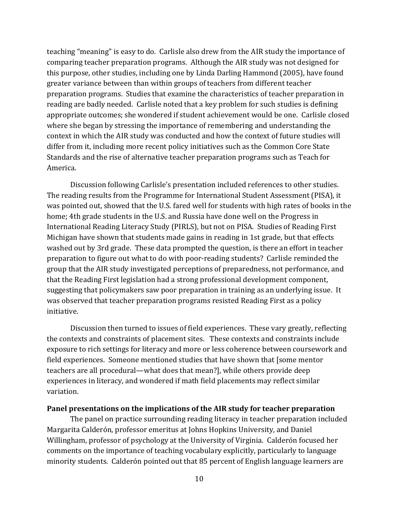teaching "meaning" is easy to do. Carlisle also drew from the AIR study the importance of comparing teacher preparation programs. Although the AIR study was not designed for this purpose, other studies, including one by Linda Darling Hammond (2005), have found greater variance between than within groups of teachers from different teacher preparation programs. Studies that examine the characteristics of teacher preparation in reading are badly needed. Carlisle noted that a key problem for such studies is defining appropriate outcomes; she wondered if student achievement would be one. Carlisle closed where she began by stressing the importance of remembering and understanding the context in which the AIR study was conducted and how the context of future studies will differ from it, including more recent policy initiatives such as the Common Core State Standards and the rise of alternative teacher preparation programs such as Teach for America.

Discussion following Carlisle's presentation included references to other studies. The reading results from the Programme for International Student Assessment (PISA), it was pointed out, showed that the U.S. fared well for students with high rates of books in the home; 4th grade students in the U.S. and Russia have done well on the Progress in International Reading Literacy Study (PIRLS), but not on PISA. Studies of Reading First Michigan have shown that students made gains in reading in 1st grade, but that effects washed out by 3rd grade. These data prompted the question, is there an effort in teacher preparation to figure out what to do with poor-reading students? Carlisle reminded the group that the AIR study investigated perceptions of preparedness, not performance, and that the Reading First legislation had a strong professional development component, suggesting that policymakers saw poor preparation in training as an underlying issue. It was observed that teacher preparation programs resisted Reading First as a policy initiative.

Discussion then turned to issues of field experiences. These vary greatly, reflecting the contexts and constraints of placement sites. These contexts and constraints include exposure to rich settings for literacy and more or less coherence between coursework and field experiences. Someone mentioned studies that have shown that [some mentor teachers are all procedural—what does that mean?], while others provide deep experiences in literacy, and wondered if math field placements may reflect similar variation.

#### **Panel presentations on the implications of the AIR study for teacher preparation**

The panel on practice surrounding reading literacy in teacher preparation included Margarita Calderón, professor emeritus at Johns Hopkins University, and Daniel Willingham, professor of psychology at the University of Virginia. Calderón focused her comments on the importance of teaching vocabulary explicitly, particularly to language minority students. Calderón pointed out that 85 percent of English language learners are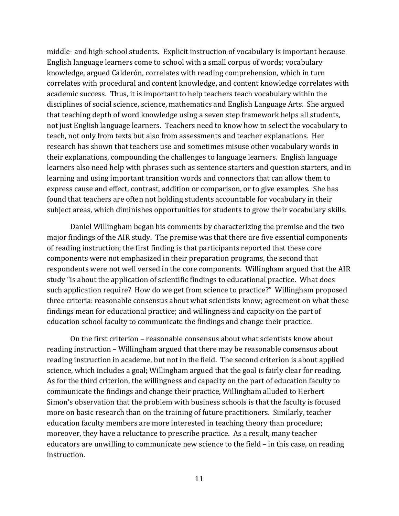middle- and high-school students. Explicit instruction of vocabulary is important because English language learners come to school with a small corpus of words; vocabulary knowledge, argued Calderón, correlates with reading comprehension, which in turn correlates with procedural and content knowledge, and content knowledge correlates with academic success. Thus, it is important to help teachers teach vocabulary within the disciplines of social science, science, mathematics and English Language Arts. She argued that teaching depth of word knowledge using a seven step framework helps all students, not just English language learners. Teachers need to know how to select the vocabulary to teach, not only from texts but also from assessments and teacher explanations. Her research has shown that teachers use and sometimes misuse other vocabulary words in their explanations, compounding the challenges to language learners. English language learners also need help with phrases such as sentence starters and question starters, and in learning and using important transition words and connectors that can allow them to express cause and effect, contrast, addition or comparison, or to give examples. She has found that teachers are often not holding students accountable for vocabulary in their subject areas, which diminishes opportunities for students to grow their vocabulary skills.

Daniel Willingham began his comments by characterizing the premise and the two major findings of the AIR study. The premise was that there are five essential components of reading instruction; the first finding is that participants reported that these core components were not emphasized in their preparation programs, the second that respondents were not well versed in the core components. Willingham argued that the AIR study "is about the application of scientific findings to educational practice. What does such application require? How do we get from science to practice?" Willingham proposed three criteria: reasonable consensus about what scientists know; agreement on what these findings mean for educational practice; and willingness and capacity on the part of education school faculty to communicate the findings and change their practice.

On the first criterion – reasonable consensus about what scientists know about reading instruction – Willingham argued that there may be reasonable consensus about reading instruction in academe, but not in the field. The second criterion is about applied science, which includes a goal; Willingham argued that the goal is fairly clear for reading. As for the third criterion, the willingness and capacity on the part of education faculty to communicate the findings and change their practice, Willingham alluded to Herbert Simon's observation that the problem with business schools is that the faculty is focused more on basic research than on the training of future practitioners. Similarly, teacher education faculty members are more interested in teaching theory than procedure; moreover, they have a reluctance to prescribe practice. As a result, many teacher educators are unwilling to communicate new science to the field – in this case, on reading instruction.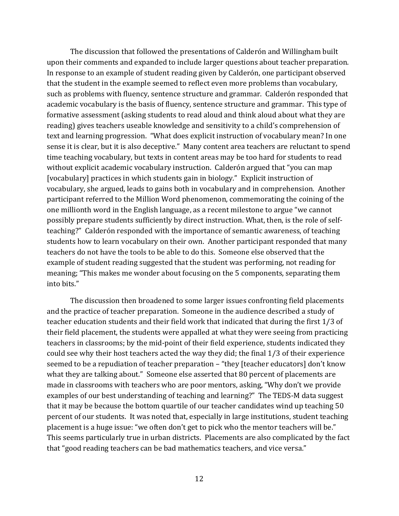The discussion that followed the presentations of Calderón and Willingham built upon their comments and expanded to include larger questions about teacher preparation. In response to an example of student reading given by Calderón, one participant observed that the student in the example seemed to reflect even more problems than vocabulary, such as problems with fluency, sentence structure and grammar. Calderón responded that academic vocabulary is the basis of fluency, sentence structure and grammar. This type of formative assessment (asking students to read aloud and think aloud about what they are reading) gives teachers useable knowledge and sensitivity to a child's comprehension of text and learning progression. "What does explicit instruction of vocabulary mean? In one sense it is clear, but it is also deceptive." Many content area teachers are reluctant to spend time teaching vocabulary, but texts in content areas may be too hard for students to read without explicit academic vocabulary instruction. Calderón argued that "you can map [vocabulary] practices in which students gain in biology." Explicit instruction of vocabulary, she argued, leads to gains both in vocabulary and in comprehension. Another participant referred to the Million Word phenomenon, commemorating the coining of the one millionth word in the English language, as a recent milestone to argue "we cannot possibly prepare students sufficiently by direct instruction. What, then, is the role of selfteaching?" Calderón responded with the importance of semantic awareness, of teaching students how to learn vocabulary on their own. Another participant responded that many teachers do not have the tools to be able to do this. Someone else observed that the example of student reading suggested that the student was performing, not reading for meaning; "This makes me wonder about focusing on the 5 components, separating them into bits."

The discussion then broadened to some larger issues confronting field placements and the practice of teacher preparation. Someone in the audience described a study of teacher education students and their field work that indicated that during the first 1/3 of their field placement, the students were appalled at what they were seeing from practicing teachers in classrooms; by the mid-point of their field experience, students indicated they could see why their host teachers acted the way they did; the final 1/3 of their experience seemed to be a repudiation of teacher preparation – "they [teacher educators] don't know what they are talking about." Someone else asserted that 80 percent of placements are made in classrooms with teachers who are poor mentors, asking, "Why don't we provide examples of our best understanding of teaching and learning?" The TEDS-M data suggest that it may be because the bottom quartile of our teacher candidates wind up teaching 50 percent of our students. It was noted that, especially in large institutions, student teaching placement is a huge issue: "we often don't get to pick who the mentor teachers will be." This seems particularly true in urban districts. Placements are also complicated by the fact that "good reading teachers can be bad mathematics teachers, and vice versa."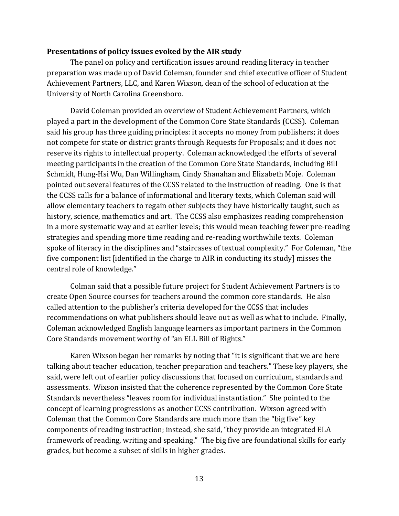#### **Presentations of policy issues evoked by the AIR study**

The panel on policy and certification issues around reading literacy in teacher preparation was made up of David Coleman, founder and chief executive officer of Student Achievement Partners, LLC, and Karen Wixson, dean of the school of education at the University of North Carolina Greensboro.

David Coleman provided an overview of Student Achievement Partners, which played a part in the development of the Common Core State Standards (CCSS). Coleman said his group has three guiding principles: it accepts no money from publishers; it does not compete for state or district grants through Requests for Proposals; and it does not reserve its rights to intellectual property. Coleman acknowledged the efforts of several meeting participants in the creation of the Common Core State Standards, including Bill Schmidt, Hung-Hsi Wu, Dan Willingham, Cindy Shanahan and Elizabeth Moje. Coleman pointed out several features of the CCSS related to the instruction of reading. One is that the CCSS calls for a balance of informational and literary texts, which Coleman said will allow elementary teachers to regain other subjects they have historically taught, such as history, science, mathematics and art. The CCSS also emphasizes reading comprehension in a more systematic way and at earlier levels; this would mean teaching fewer pre-reading strategies and spending more time reading and re-reading worthwhile texts. Coleman spoke of literacy in the disciplines and "staircases of textual complexity." For Coleman, "the five component list [identified in the charge to AIR in conducting its study] misses the central role of knowledge."

Colman said that a possible future project for Student Achievement Partners is to create Open Source courses for teachers around the common core standards. He also called attention to the publisher's criteria developed for the CCSS that includes recommendations on what publishers should leave out as well as what to include. Finally, Coleman acknowledged English language learners as important partners in the Common Core Standards movement worthy of "an ELL Bill of Rights."

Karen Wixson began her remarks by noting that "it is significant that we are here talking about teacher education, teacher preparation and teachers." These key players, she said, were left out of earlier policy discussions that focused on curriculum, standards and assessments. Wixson insisted that the coherence represented by the Common Core State Standards nevertheless "leaves room for individual instantiation." She pointed to the concept of learning progressions as another CCSS contribution. Wixson agreed with Coleman that the Common Core Standards are much more than the "big five" key components of reading instruction; instead, she said, "they provide an integrated ELA framework of reading, writing and speaking." The big five are foundational skills for early grades, but become a subset of skills in higher grades.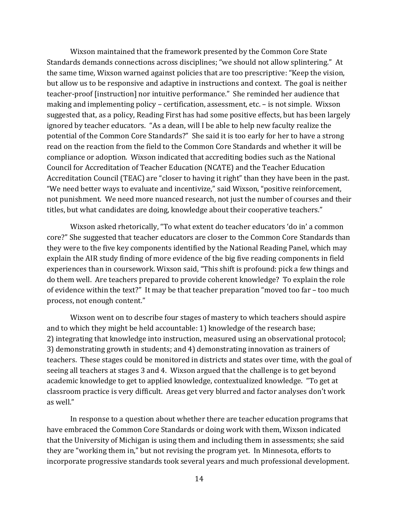Wixson maintained that the framework presented by the Common Core State Standards demands connections across disciplines; "we should not allow splintering." At the same time, Wixson warned against policies that are too prescriptive: "Keep the vision, but allow us to be responsive and adaptive in instructions and context. The goal is neither teacher-proof [instruction] nor intuitive performance." She reminded her audience that making and implementing policy – certification, assessment, etc. – is not simple. Wixson suggested that, as a policy, Reading First has had some positive effects, but has been largely ignored by teacher educators. "As a dean, will I be able to help new faculty realize the potential of the Common Core Standards?" She said it is too early for her to have a strong read on the reaction from the field to the Common Core Standards and whether it will be compliance or adoption. Wixson indicated that accrediting bodies such as the National Council for Accreditation of Teacher Education (NCATE) and the Teacher Education Accreditation Council (TEAC) are "closer to having it right" than they have been in the past. "We need better ways to evaluate and incentivize," said Wixson, "positive reinforcement, not punishment. We need more nuanced research, not just the number of courses and their titles, but what candidates are doing, knowledge about their cooperative teachers."

Wixson asked rhetorically, "To what extent do teacher educators 'do in' a common core?" She suggested that teacher educators are closer to the Common Core Standards than they were to the five key components identified by the National Reading Panel, which may explain the AIR study finding of more evidence of the big five reading components in field experiences than in coursework. Wixson said, "This shift is profound: pick a few things and do them well. Are teachers prepared to provide coherent knowledge? To explain the role of evidence within the text?" It may be that teacher preparation "moved too far – too much process, not enough content."

Wixson went on to describe four stages of mastery to which teachers should aspire and to which they might be held accountable: 1) knowledge of the research base; 2) integrating that knowledge into instruction, measured using an observational protocol; 3) demonstrating growth in students; and 4) demonstrating innovation as trainers of teachers. These stages could be monitored in districts and states over time, with the goal of seeing all teachers at stages 3 and 4. Wixson argued that the challenge is to get beyond academic knowledge to get to applied knowledge, contextualized knowledge. "To get at classroom practice is very difficult. Areas get very blurred and factor analyses don't work as well."

In response to a question about whether there are teacher education programs that have embraced the Common Core Standards or doing work with them, Wixson indicated that the University of Michigan is using them and including them in assessments; she said they are "working them in," but not revising the program yet. In Minnesota, efforts to incorporate progressive standards took several years and much professional development.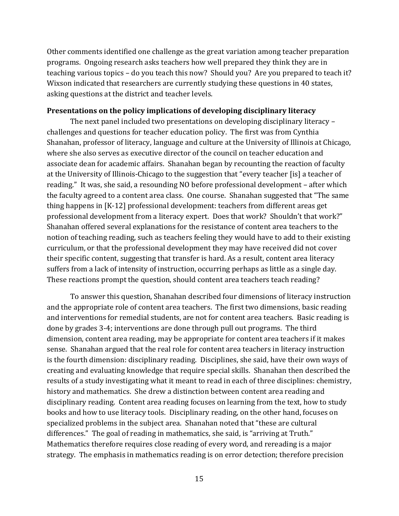Other comments identified one challenge as the great variation among teacher preparation programs. Ongoing research asks teachers how well prepared they think they are in teaching various topics – do you teach this now? Should you? Are you prepared to teach it? Wixson indicated that researchers are currently studying these questions in 40 states, asking questions at the district and teacher levels.

#### **Presentations on the policy implications of developing disciplinary literacy**

The next panel included two presentations on developing disciplinary literacy – challenges and questions for teacher education policy. The first was from Cynthia Shanahan, professor of literacy, language and culture at the University of Illinois at Chicago, where she also serves as executive director of the council on teacher education and associate dean for academic affairs. Shanahan began by recounting the reaction of faculty at the University of Illinois-Chicago to the suggestion that "every teacher [is] a teacher of reading." It was, she said, a resounding NO before professional development – after which the faculty agreed to a content area class. One course. Shanahan suggested that "The same thing happens in [K-12] professional development: teachers from different areas get professional development from a literacy expert. Does that work? Shouldn't that work?" Shanahan offered several explanations for the resistance of content area teachers to the notion of teaching reading, such as teachers feeling they would have to add to their existing curriculum, or that the professional development they may have received did not cover their specific content, suggesting that transfer is hard. As a result, content area literacy suffers from a lack of intensity of instruction, occurring perhaps as little as a single day. These reactions prompt the question, should content area teachers teach reading?

To answer this question, Shanahan described four dimensions of literacy instruction and the appropriate role of content area teachers. The first two dimensions, basic reading and interventions for remedial students, are not for content area teachers. Basic reading is done by grades 3-4; interventions are done through pull out programs. The third dimension, content area reading, may be appropriate for content area teachers if it makes sense. Shanahan argued that the real role for content area teachers in literacy instruction is the fourth dimension: disciplinary reading. Disciplines, she said, have their own ways of creating and evaluating knowledge that require special skills. Shanahan then described the results of a study investigating what it meant to read in each of three disciplines: chemistry, history and mathematics. She drew a distinction between content area reading and disciplinary reading. Content area reading focuses on learning from the text, how to study books and how to use literacy tools. Disciplinary reading, on the other hand, focuses on specialized problems in the subject area. Shanahan noted that "these are cultural differences." The goal of reading in mathematics, she said, is "arriving at Truth." Mathematics therefore requires close reading of every word, and rereading is a major strategy. The emphasis in mathematics reading is on error detection; therefore precision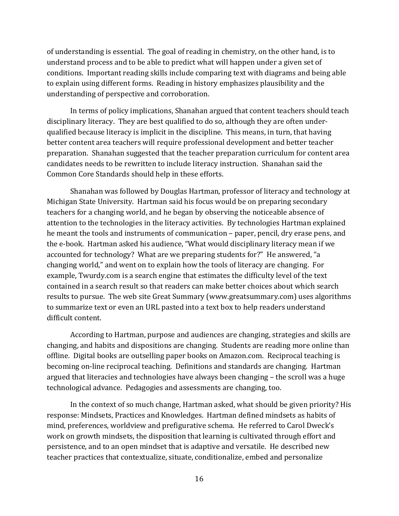of understanding is essential. The goal of reading in chemistry, on the other hand, is to understand process and to be able to predict what will happen under a given set of conditions. Important reading skills include comparing text with diagrams and being able to explain using different forms. Reading in history emphasizes plausibility and the understanding of perspective and corroboration.

In terms of policy implications, Shanahan argued that content teachers should teach disciplinary literacy. They are best qualified to do so, although they are often underqualified because literacy is implicit in the discipline. This means, in turn, that having better content area teachers will require professional development and better teacher preparation. Shanahan suggested that the teacher preparation curriculum for content area candidates needs to be rewritten to include literacy instruction. Shanahan said the Common Core Standards should help in these efforts.

Shanahan was followed by Douglas Hartman, professor of literacy and technology at Michigan State University. Hartman said his focus would be on preparing secondary teachers for a changing world, and he began by observing the noticeable absence of attention to the technologies in the literacy activities. By technologies Hartman explained he meant the tools and instruments of communication – paper, pencil, dry erase pens, and the e-book. Hartman asked his audience, "What would disciplinary literacy mean if we accounted for technology? What are we preparing students for?" He answered, "a changing world," and went on to explain how the tools of literacy are changing. For example, Twurdy.com is a search engine that estimates the difficulty level of the text contained in a search result so that readers can make better choices about which search results to pursue. The web site Great Summary (www.greatsummary.com) uses algorithms to summarize text or even an URL pasted into a text box to help readers understand difficult content.

According to Hartman, purpose and audiences are changing, strategies and skills are changing, and habits and dispositions are changing. Students are reading more online than offline. Digital books are outselling paper books on Amazon.com. Reciprocal teaching is becoming on-line reciprocal teaching. Definitions and standards are changing. Hartman argued that literacies and technologies have always been changing – the scroll was a huge technological advance. Pedagogies and assessments are changing, too.

In the context of so much change, Hartman asked, what should be given priority? His response: Mindsets, Practices and Knowledges. Hartman defined mindsets as habits of mind, preferences, worldview and prefigurative schema. He referred to Carol Dweck's work on growth mindsets, the disposition that learning is cultivated through effort and persistence, and to an open mindset that is adaptive and versatile. He described new teacher practices that contextualize, situate, conditionalize, embed and personalize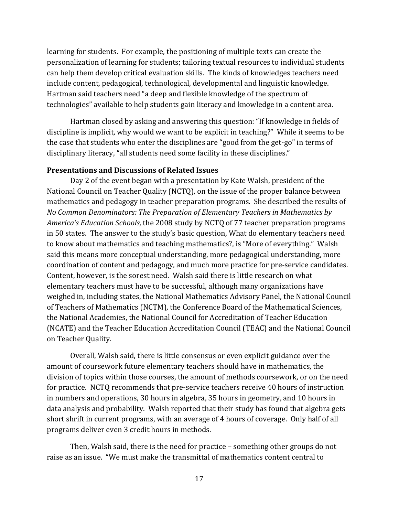learning for students. For example, the positioning of multiple texts can create the personalization of learning for students; tailoring textual resources to individual students can help them develop critical evaluation skills. The kinds of knowledges teachers need include content, pedagogical, technological, developmental and linguistic knowledge. Hartman said teachers need "a deep and flexible knowledge of the spectrum of technologies" available to help students gain literacy and knowledge in a content area.

Hartman closed by asking and answering this question: "If knowledge in fields of discipline is implicit, why would we want to be explicit in teaching?" While it seems to be the case that students who enter the disciplines are "good from the get-go" in terms of disciplinary literacy, "all students need some facility in these disciplines."

# **Presentations and Discussions of Related Issues**

Day 2 of the event began with a presentation by Kate Walsh, president of the National Council on Teacher Quality (NCTQ), on the issue of the proper balance between mathematics and pedagogy in teacher preparation programs. She described the results of *No Common Denominators: The Preparation of Elementary Teachers in Mathematics by America's Education Schools,* the 2008 study by NCTQ of 77 teacher preparation programs in 50 states. The answer to the study's basic question, What do elementary teachers need to know about mathematics and teaching mathematics?, is "More of everything." Walsh said this means more conceptual understanding, more pedagogical understanding, more coordination of content and pedagogy, and much more practice for pre-service candidates. Content, however, is the sorest need. Walsh said there is little research on what elementary teachers must have to be successful, although many organizations have weighed in, including states, the National Mathematics Advisory Panel, the National Council of Teachers of Mathematics (NCTM), the Conference Board of the Mathematical Sciences, the National Academies, the National Council for Accreditation of Teacher Education (NCATE) and the Teacher Education Accreditation Council (TEAC) and the National Council on Teacher Quality.

Overall, Walsh said, there is little consensus or even explicit guidance over the amount of coursework future elementary teachers should have in mathematics, the division of topics within those courses, the amount of methods coursework, or on the need for practice. NCTQ recommends that pre-service teachers receive 40 hours of instruction in numbers and operations, 30 hours in algebra, 35 hours in geometry, and 10 hours in data analysis and probability. Walsh reported that their study has found that algebra gets short shrift in current programs, with an average of 4 hours of coverage. Only half of all programs deliver even 3 credit hours in methods.

Then, Walsh said, there is the need for practice – something other groups do not raise as an issue. "We must make the transmittal of mathematics content central to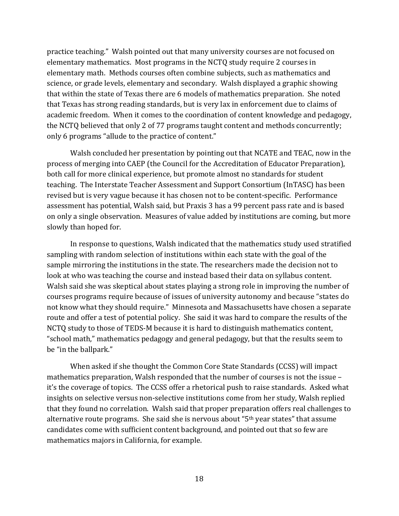practice teaching." Walsh pointed out that many university courses are not focused on elementary mathematics. Most programs in the NCTQ study require 2 courses in elementary math. Methods courses often combine subjects, such as mathematics and science, or grade levels, elementary and secondary. Walsh displayed a graphic showing that within the state of Texas there are 6 models of mathematics preparation. She noted that Texas has strong reading standards, but is very lax in enforcement due to claims of academic freedom. When it comes to the coordination of content knowledge and pedagogy, the NCTQ believed that only 2 of 77 programs taught content and methods concurrently; only 6 programs "allude to the practice of content."

Walsh concluded her presentation by pointing out that NCATE and TEAC, now in the process of merging into CAEP (the Council for the Accreditation of Educator Preparation), both call for more clinical experience, but promote almost no standards for student teaching. The Interstate Teacher Assessment and Support Consortium (InTASC) has been revised but is very vague because it has chosen not to be content-specific. Performance assessment has potential, Walsh said, but Praxis 3 has a 99 percent pass rate and is based on only a single observation. Measures of value added by institutions are coming, but more slowly than hoped for.

In response to questions, Walsh indicated that the mathematics study used stratified sampling with random selection of institutions within each state with the goal of the sample mirroring the institutions in the state. The researchers made the decision not to look at who was teaching the course and instead based their data on syllabus content. Walsh said she was skeptical about states playing a strong role in improving the number of courses programs require because of issues of university autonomy and because "states do not know what they should require." Minnesota and Massachusetts have chosen a separate route and offer a test of potential policy. She said it was hard to compare the results of the NCTQ study to those of TEDS-M because it is hard to distinguish mathematics content, "school math," mathematics pedagogy and general pedagogy, but that the results seem to be "in the ballpark."

When asked if she thought the Common Core State Standards (CCSS) will impact mathematics preparation, Walsh responded that the number of courses is not the issue – it's the coverage of topics. The CCSS offer a rhetorical push to raise standards. Asked what insights on selective versus non-selective institutions come from her study, Walsh replied that they found no correlation. Walsh said that proper preparation offers real challenges to alternative route programs. She said she is nervous about "5th year states" that assume candidates come with sufficient content background, and pointed out that so few are mathematics majors in California, for example.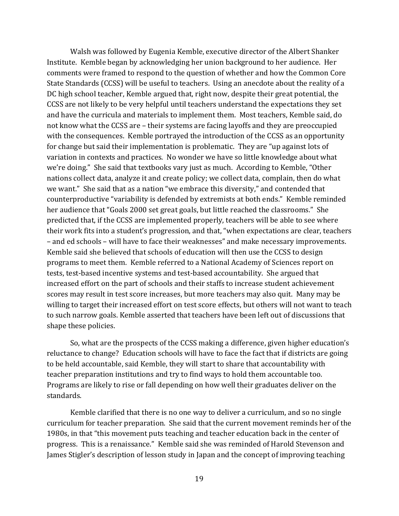Walsh was followed by Eugenia Kemble, executive director of the Albert Shanker Institute. Kemble began by acknowledging her union background to her audience. Her comments were framed to respond to the question of whether and how the Common Core State Standards (CCSS) will be useful to teachers. Using an anecdote about the reality of a DC high school teacher, Kemble argued that, right now, despite their great potential, the CCSS are not likely to be very helpful until teachers understand the expectations they set and have the curricula and materials to implement them. Most teachers, Kemble said, do not know what the CCSS are – their systems are facing layoffs and they are preoccupied with the consequences. Kemble portrayed the introduction of the CCSS as an opportunity for change but said their implementation is problematic. They are "up against lots of variation in contexts and practices. No wonder we have so little knowledge about what we're doing." She said that textbooks vary just as much. According to Kemble, "Other nations collect data, analyze it and create policy; we collect data, complain, then do what we want." She said that as a nation "we embrace this diversity," and contended that counterproductive "variability is defended by extremists at both ends." Kemble reminded her audience that "Goals 2000 set great goals, but little reached the classrooms." She predicted that, if the CCSS are implemented properly, teachers will be able to see where their work fits into a student's progression, and that, "when expectations are clear, teachers – and ed schools – will have to face their weaknesses" and make necessary improvements. Kemble said she believed that schools of education will then use the CCSS to design programs to meet them. Kemble referred to a National Academy of Sciences report on tests, test-based incentive systems and test-based accountability. She argued that increased effort on the part of schools and their staffs to increase student achievement scores may result in test score increases, but more teachers may also quit. Many may be willing to target their increased effort on test score effects, but others will not want to teach to such narrow goals. Kemble asserted that teachers have been left out of discussions that shape these policies.

So, what are the prospects of the CCSS making a difference, given higher education's reluctance to change? Education schools will have to face the fact that if districts are going to be held accountable, said Kemble, they will start to share that accountability with teacher preparation institutions and try to find ways to hold them accountable too. Programs are likely to rise or fall depending on how well their graduates deliver on the standards.

Kemble clarified that there is no one way to deliver a curriculum, and so no single curriculum for teacher preparation. She said that the current movement reminds her of the 1980s, in that "this movement puts teaching and teacher education back in the center of progress. This is a renaissance." Kemble said she was reminded of Harold Stevenson and James Stigler's description of lesson study in Japan and the concept of improving teaching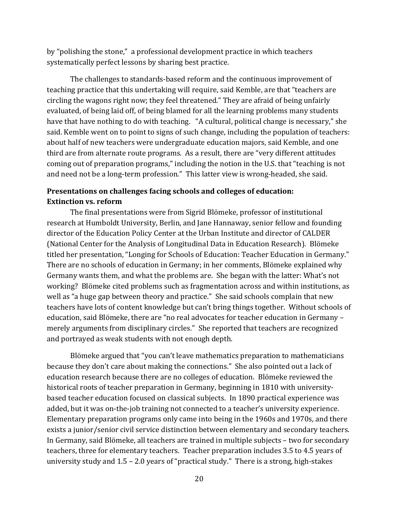by "polishing the stone," a professional development practice in which teachers systematically perfect lessons by sharing best practice.

The challenges to standards-based reform and the continuous improvement of teaching practice that this undertaking will require, said Kemble, are that "teachers are circling the wagons right now; they feel threatened." They are afraid of being unfairly evaluated, of being laid off, of being blamed for all the learning problems many students have that have nothing to do with teaching. "A cultural, political change is necessary," she said. Kemble went on to point to signs of such change, including the population of teachers: about half of new teachers were undergraduate education majors, said Kemble, and one third are from alternate route programs. As a result, there are "very different attitudes coming out of preparation programs," including the notion in the U.S. that "teaching is not and need not be a long-term profession." This latter view is wrong-headed, she said.

# **Presentations on challenges facing schools and colleges of education: Extinction vs. reform**

The final presentations were from Sigrid Blömeke, professor of institutional research at Humboldt University, Berlin, and Jane Hannaway, senior fellow and founding director of the Education Policy Center at the Urban Institute and director of CALDER (National Center for the Analysis of Longitudinal Data in Education Research). Blömeke titled her presentation, "Longing for Schools of Education: Teacher Education in Germany." There are no schools of education in Germany; in her comments, Blömeke explained why Germany wants them, and what the problems are. She began with the latter: What's not working? Blömeke cited problems such as fragmentation across and within institutions, as well as "a huge gap between theory and practice." She said schools complain that new teachers have lots of content knowledge but can't bring things together. Without schools of education, said Blömeke, there are "no real advocates for teacher education in Germany – merely arguments from disciplinary circles." She reported that teachers are recognized and portrayed as weak students with not enough depth.

Blömeke argued that "you can't leave mathematics preparation to mathematicians because they don't care about making the connections." She also pointed out a lack of education research because there are no colleges of education. Blömeke reviewed the historical roots of teacher preparation in Germany, beginning in 1810 with universitybased teacher education focused on classical subjects. In 1890 practical experience was added, but it was on-the-job training not connected to a teacher's university experience. Elementary preparation programs only came into being in the 1960s and 1970s, and there exists a junior/senior civil service distinction between elementary and secondary teachers. In Germany, said Blömeke, all teachers are trained in multiple subjects – two for secondary teachers, three for elementary teachers. Teacher preparation includes 3.5 to 4.5 years of university study and 1.5 – 2.0 years of "practical study." There is a strong, high-stakes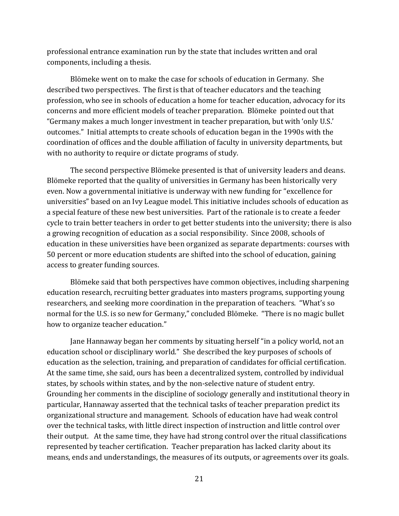professional entrance examination run by the state that includes written and oral components, including a thesis.

Blömeke went on to make the case for schools of education in Germany. She described two perspectives. The first is that of teacher educators and the teaching profession, who see in schools of education a home for teacher education, advocacy for its concerns and more efficient models of teacher preparation. Blömeke pointed out that "Germany makes a much longer investment in teacher preparation, but with 'only U.S.' outcomes." Initial attempts to create schools of education began in the 1990s with the coordination of offices and the double affiliation of faculty in university departments, but with no authority to require or dictate programs of study.

The second perspective Blömeke presented is that of university leaders and deans. Blömeke reported that the quality of universities in Germany has been historically very even. Now a governmental initiative is underway with new funding for "excellence for universities" based on an Ivy League model. This initiative includes schools of education as a special feature of these new best universities. Part of the rationale is to create a feeder cycle to train better teachers in order to get better students into the university; there is also a growing recognition of education as a social responsibility. Since 2008, schools of education in these universities have been organized as separate departments: courses with 50 percent or more education students are shifted into the school of education, gaining access to greater funding sources.

Blömeke said that both perspectives have common objectives, including sharpening education research, recruiting better graduates into masters programs, supporting young researchers, and seeking more coordination in the preparation of teachers. "What's so normal for the U.S. is so new for Germany," concluded Blömeke. "There is no magic bullet how to organize teacher education."

Jane Hannaway began her comments by situating herself "in a policy world, not an education school or disciplinary world." She described the key purposes of schools of education as the selection, training, and preparation of candidates for official certification. At the same time, she said, ours has been a decentralized system, controlled by individual states, by schools within states, and by the non-selective nature of student entry. Grounding her comments in the discipline of sociology generally and institutional theory in particular, Hannaway asserted that the technical tasks of teacher preparation predict its organizational structure and management. Schools of education have had weak control over the technical tasks, with little direct inspection of instruction and little control over their output. At the same time, they have had strong control over the ritual classifications represented by teacher certification. Teacher preparation has lacked clarity about its means, ends and understandings, the measures of its outputs, or agreements over its goals.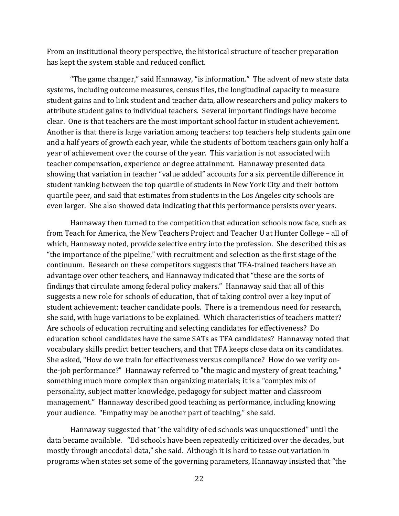From an institutional theory perspective, the historical structure of teacher preparation has kept the system stable and reduced conflict.

"The game changer," said Hannaway, "is information." The advent of new state data systems, including outcome measures, census files, the longitudinal capacity to measure student gains and to link student and teacher data, allow researchers and policy makers to attribute student gains to individual teachers. Several important findings have become clear. One is that teachers are the most important school factor in student achievement. Another is that there is large variation among teachers: top teachers help students gain one and a half years of growth each year, while the students of bottom teachers gain only half a year of achievement over the course of the year. This variation is not associated with teacher compensation, experience or degree attainment. Hannaway presented data showing that variation in teacher "value added" accounts for a six percentile difference in student ranking between the top quartile of students in New York City and their bottom quartile peer, and said that estimates from students in the Los Angeles city schools are even larger. She also showed data indicating that this performance persists over years.

Hannaway then turned to the competition that education schools now face, such as from Teach for America, the New Teachers Project and Teacher U at Hunter College – all of which, Hannaway noted, provide selective entry into the profession. She described this as "the importance of the pipeline," with recruitment and selection as the first stage of the continuum. Research on these competitors suggests that TFA-trained teachers have an advantage over other teachers, and Hannaway indicated that "these are the sorts of findings that circulate among federal policy makers." Hannaway said that all of this suggests a new role for schools of education, that of taking control over a key input of student achievement: teacher candidate pools. There is a tremendous need for research, she said, with huge variations to be explained. Which characteristics of teachers matter? Are schools of education recruiting and selecting candidates for effectiveness? Do education school candidates have the same SATs as TFA candidates? Hannaway noted that vocabulary skills predict better teachers, and that TFA keeps close data on its candidates. She asked, "How do we train for effectiveness versus compliance? How do we verify onthe-job performance?" Hannaway referred to "the magic and mystery of great teaching," something much more complex than organizing materials; it is a "complex mix of personality, subject matter knowledge, pedagogy for subject matter and classroom management." Hannaway described good teaching as performance, including knowing your audience. "Empathy may be another part of teaching," she said.

Hannaway suggested that "the validity of ed schools was unquestioned" until the data became available. "Ed schools have been repeatedly criticized over the decades, but mostly through anecdotal data," she said. Although it is hard to tease out variation in programs when states set some of the governing parameters, Hannaway insisted that "the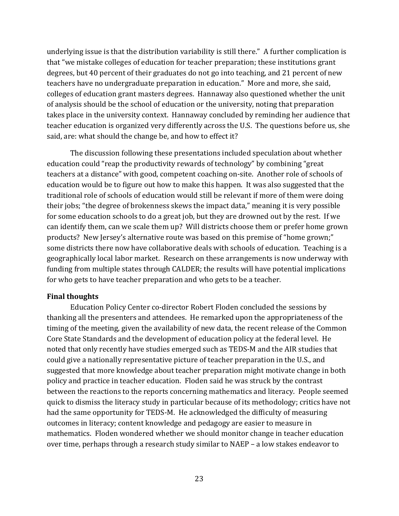underlying issue is that the distribution variability is still there." A further complication is that "we mistake colleges of education for teacher preparation; these institutions grant degrees, but 40 percent of their graduates do not go into teaching, and 21 percent of new teachers have no undergraduate preparation in education." More and more, she said, colleges of education grant masters degrees. Hannaway also questioned whether the unit of analysis should be the school of education or the university, noting that preparation takes place in the university context. Hannaway concluded by reminding her audience that teacher education is organized very differently across the U.S. The questions before us, she said, are: what should the change be, and how to effect it?

The discussion following these presentations included speculation about whether education could "reap the productivity rewards of technology" by combining "great teachers at a distance" with good, competent coaching on-site. Another role of schools of education would be to figure out how to make this happen. It was also suggested that the traditional role of schools of education would still be relevant if more of them were doing their jobs; "the degree of brokenness skews the impact data," meaning it is very possible for some education schools to do a great job, but they are drowned out by the rest. If we can identify them, can we scale them up? Will districts choose them or prefer home grown products? New Jersey's alternative route was based on this premise of "home grown;" some districts there now have collaborative deals with schools of education. Teaching is a geographically local labor market. Research on these arrangements is now underway with funding from multiple states through CALDER; the results will have potential implications for who gets to have teacher preparation and who gets to be a teacher.

#### **Final thoughts**

Education Policy Center co-director Robert Floden concluded the sessions by thanking all the presenters and attendees. He remarked upon the appropriateness of the timing of the meeting, given the availability of new data, the recent release of the Common Core State Standards and the development of education policy at the federal level. He noted that only recently have studies emerged such as TEDS-M and the AIR studies that could give a nationally representative picture of teacher preparation in the U.S., and suggested that more knowledge about teacher preparation might motivate change in both policy and practice in teacher education. Floden said he was struck by the contrast between the reactions to the reports concerning mathematics and literacy. People seemed quick to dismiss the literacy study in particular because of its methodology; critics have not had the same opportunity for TEDS-M. He acknowledged the difficulty of measuring outcomes in literacy; content knowledge and pedagogy are easier to measure in mathematics. Floden wondered whether we should monitor change in teacher education over time, perhaps through a research study similar to NAEP – a low stakes endeavor to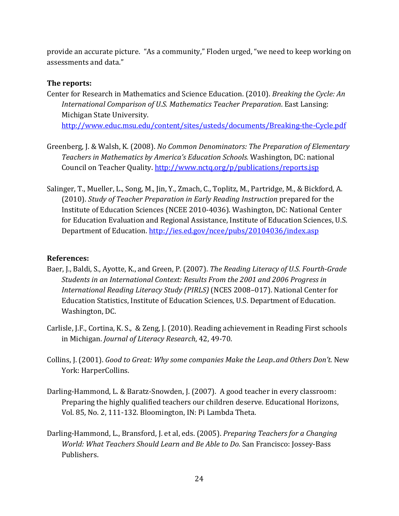provide an accurate picture. "As a community," Floden urged, "we need to keep working on assessments and data."

# **The reports:**

- Center for Research in Mathematics and Science Education. (2010). *Breaking the Cycle: An International Comparison of U.S. Mathematics Teacher Preparation*. East Lansing: Michigan State University. <http://www.educ.msu.edu/content/sites/usteds/documents/Breaking-the-Cycle.pdf>
- Greenberg, J. & Walsh, K. (2008). *No Common Denominators: The Preparation of Elementary Teachers in Mathematics by America's Education Schools.* Washington, DC: national Council on Teacher Quality. <http://www.nctq.org/p/publications/reports.jsp>
- Salinger, T., Mueller, L., Song, M., Jin, Y., Zmach, C., Toplitz, M., Partridge, M., & Bickford, A. (2010). *Study of Teacher Preparation in Early Reading Instruction* prepared for the Institute of Education Sciences (NCEE 2010-4036). Washington, DC: National Center for Education Evaluation and Regional Assistance, Institute of Education Sciences, U.S. Department of Education[. http://ies.ed.gov/ncee/pubs/20104036/index.asp](http://ies.ed.gov/ncee/pubs/20104036/index.asp)

# **References:**

- Baer, J., Baldi, S., Ayotte, K., and Green, P. (2007). *The Reading Literacy of U.S. Fourth-Grade Students in an International Context: Results From the 2001 and 2006 Progress in International Reading Literacy Study (PIRLS)* (NCES 2008–017). National Center for Education Statistics, Institute of Education Sciences, U.S. Department of Education. Washington, DC.
- Carlisle, J.F., Cortina, K. S., & Zeng, J. (2010). Reading achievement in Reading First schools in Michigan. *Journal of Literacy Research*, 42, 49-70.
- Collins, J. (2001). *Good to Great: Why some companies Make the Leap..and Others Don't.* New York: HarperCollins.
- Darling-Hammond, L. & Baratz-Snowden, J. (2007). A good teacher in every classroom: Preparing the highly qualified teachers our children deserve. Educational Horizons, Vol. 85, No. 2, 111-132. Bloomington, IN: Pi Lambda Theta.
- Darling-Hammond, L., Bransford, J. et al, eds. (2005). *Preparing Teachers for a Changing World: What Teachers Should Learn and Be Able to Do.* San Francisco: Jossey-Bass Publishers.